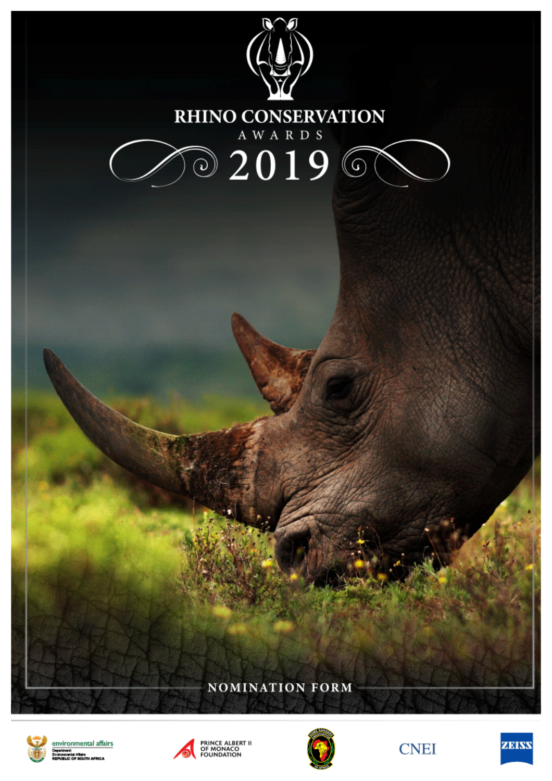

**AFRICA** 





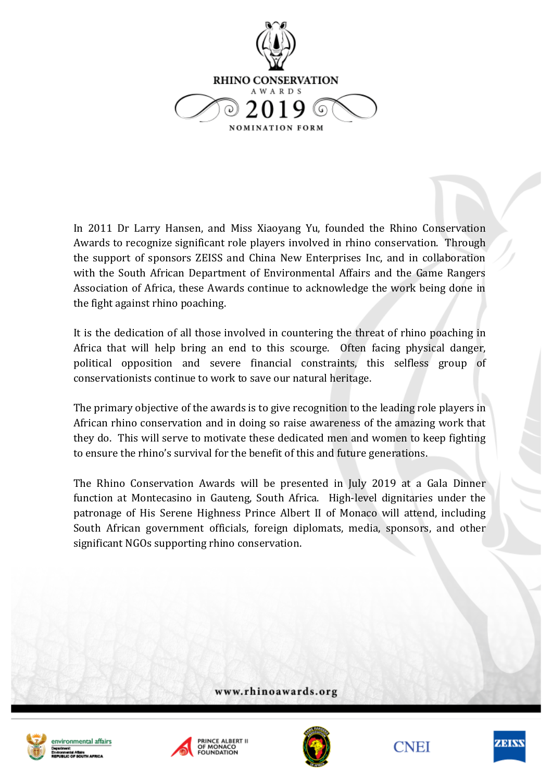

In 2011 Dr Larry Hansen, and Miss Xiaoyang Yu, founded the Rhino Conservation Awards to recognize significant role players involved in rhino conservation. Through the support of sponsors ZEISS and China New Enterprises Inc, and in collaboration with the South African Department of Environmental Affairs and the Game Rangers Association of Africa, these Awards continue to acknowledge the work being done in the fight against rhino poaching.

It is the dedication of all those involved in countering the threat of rhino poaching in Africa that will help bring an end to this scourge. Often facing physical danger, political opposition and severe financial constraints, this selfless group of conservationists continue to work to save our natural heritage.

The primary objective of the awards is to give recognition to the leading role players in African rhino conservation and in doing so raise awareness of the amazing work that they do. This will serve to motivate these dedicated men and women to keep fighting to ensure the rhino's survival for the benefit of this and future generations.

The Rhino Conservation Awards will be presented in July 2019 at a Gala Dinner function at Montecasino in Gauteng, South Africa. High-level dignitaries under the patronage of His Serene Highness Prince Albert II of Monaco will attend, including South African government officials, foreign diplomats, media, sponsors, and other significant NGOs supporting rhino conservation.

www.rhinoawards.org







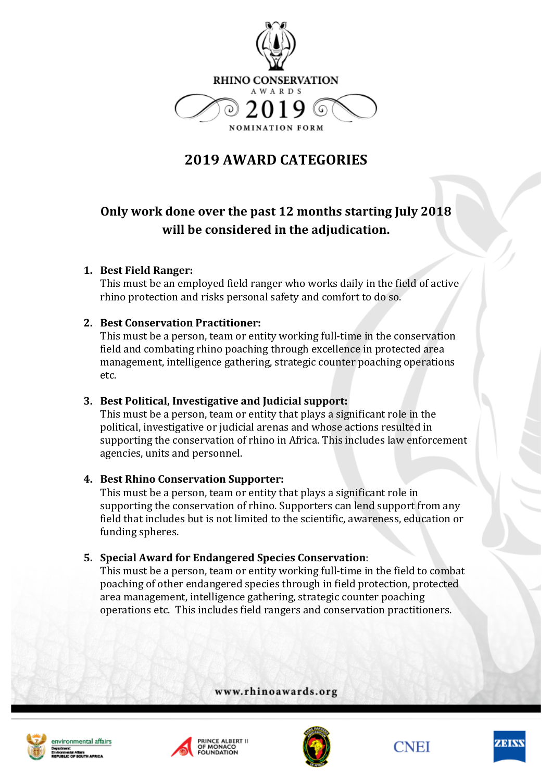

# **2019 AWARD CATEGORIES**

## Only work done over the past 12 months starting July 2018 **will be considered in the adjudication.**

### **1. Best Field Ranger:**

This must be an employed field ranger who works daily in the field of active rhino protection and risks personal safety and comfort to do so.

### **2. Best Conservation Practitioner:**

This must be a person, team or entity working full-time in the conservation field and combating rhino poaching through excellence in protected area management, intelligence gathering, strategic counter poaching operations etc.

### **3. Best Political, Investigative and Judicial support:**

This must be a person, team or entity that plays a significant role in the political, investigative or judicial arenas and whose actions resulted in supporting the conservation of rhino in Africa. This includes law enforcement agencies, units and personnel.

#### **4. Best Rhino Conservation Supporter:**

This must be a person, team or entity that plays a significant role in supporting the conservation of rhino. Supporters can lend support from any field that includes but is not limited to the scientific, awareness, education or funding spheres.

### **5. Special Award for Endangered Species Conservation**:

This must be a person, team or entity working full-time in the field to combat poaching of other endangered species through in field protection, protected area management, intelligence gathering, strategic counter poaching operations etc. This includes field rangers and conservation practitioners.

www.rhinoawards.org









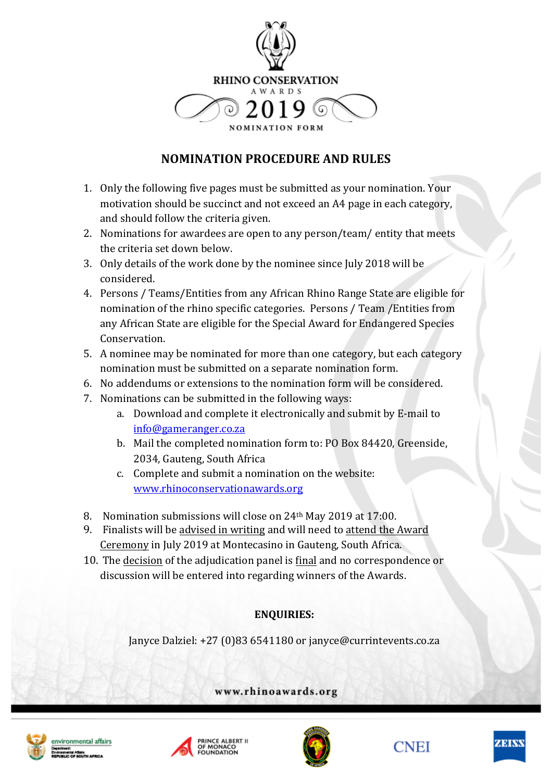

## **NOMINATION PROCEDURE AND RULES**

- 1. Only the following five pages must be submitted as your nomination. Your motivation should be succinct and not exceed an A4 page in each category, and should follow the criteria given.
- 2. Nominations for awardees are open to any person/team/ entity that meets the criteria set down below.
- 3. Only details of the work done by the nominee since July 2018 will be considered.
- 4. Persons / Teams/Entities from any African Rhino Range State are eligible for nomination of the rhino specific categories. Persons / Team / Entities from any African State are eligible for the Special Award for Endangered Species Conservation.
- 5. A nominee may be nominated for more than one category, but each category nomination must be submitted on a separate nomination form.
- 6. No addendums or extensions to the nomination form will be considered.
- 7. Nominations can be submitted in the following ways:
	- a. Download and complete it electronically and submit by E-mail to info@gameranger.co.za
	- b. Mail the completed nomination form to: PO Box 84420, Greenside, 2034, Gauteng, South Africa
	- c. Complete and submit a nomination on the website: www.rhinoconservationawards.org
- 8. Nomination submissions will close on 24<sup>th</sup> May 2019 at 17:00.
- 9. Finalists will be advised in writing and will need to attend the Award Ceremony in July 2019 at Montecasino in Gauteng, South Africa.
- 10. The decision of the adjudication panel is final and no correspondence or discussion will be entered into regarding winners of the Awards.

### **ENQUIRIES:**

Janyce Dalziel: +27 (0)83 6541180 or janyce@currintevents.co.za

www.rhinoawards.org







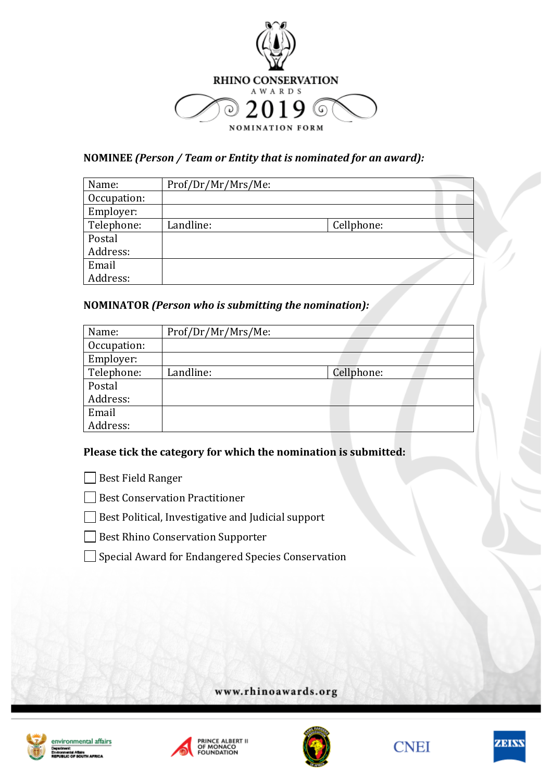

### **NOMINEE** (Person / Team or Entity that is nominated for an award):

| Name:       | Prof/Dr/Mr/Mrs/Me: |            |  |
|-------------|--------------------|------------|--|
| Occupation: |                    |            |  |
| Employer:   |                    |            |  |
| Telephone:  | Landline:          | Cellphone: |  |
| Postal      |                    |            |  |
| Address:    |                    |            |  |
| Email       |                    |            |  |
| Address:    |                    |            |  |

### **NOMINATOR** *(Person who is submitting the nomination):*

| Name:       | Prof/Dr/Mr/Mrs/Me: |            |
|-------------|--------------------|------------|
| Occupation: |                    |            |
| Employer:   |                    |            |
| Telephone:  | Landline:          | Cellphone: |
| Postal      |                    |            |
| Address:    |                    |            |
| Email       |                    |            |
| Address:    |                    |            |

### Please tick the category for which the nomination is submitted:

Best Field Ranger

Best Conservation Practitioner

 $\Box$  Best Political, Investigative and Judicial support

Best Rhino Conservation Supporter

□ Special Award for Endangered Species Conservation

www.rhinoawards.org







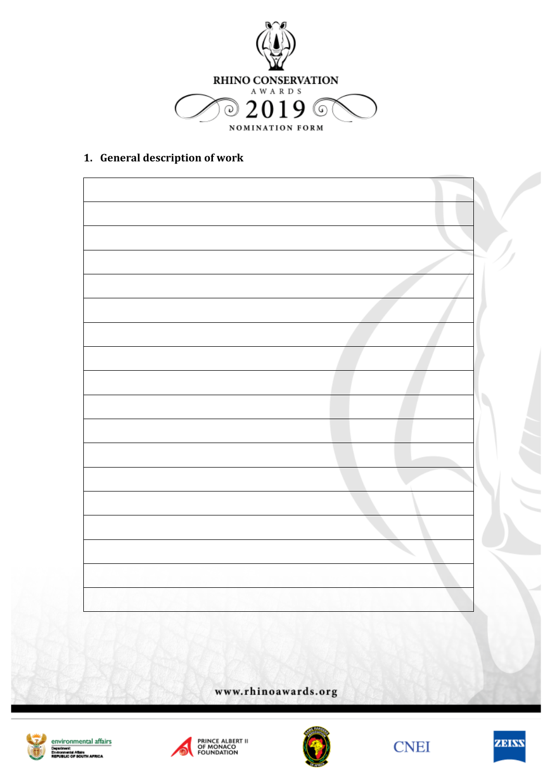

### 1. General description of work

www.rhinoawards.org







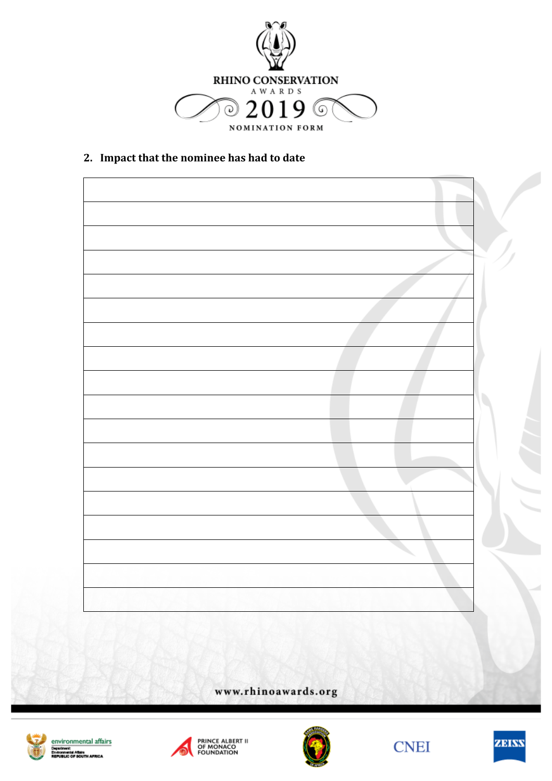

2. **Impact that the nominee has had to date** 

www.rhinoawards.org









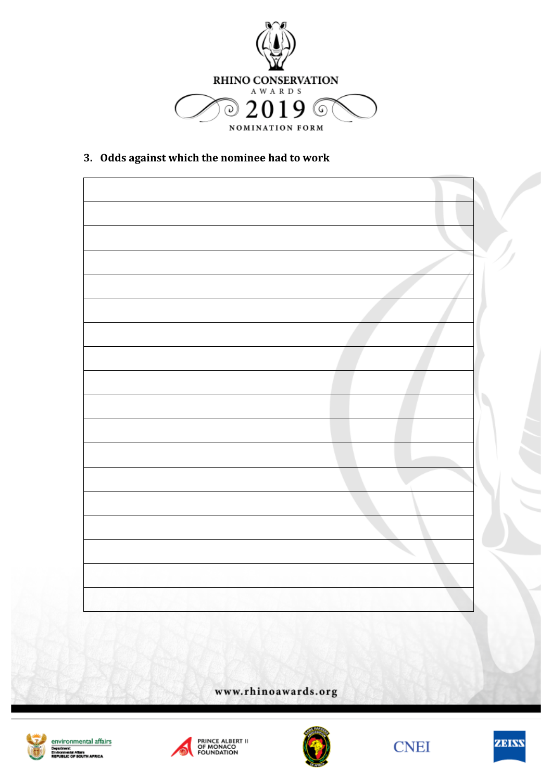

3. Odds against which the nominee had to work

www.rhinoawards.org







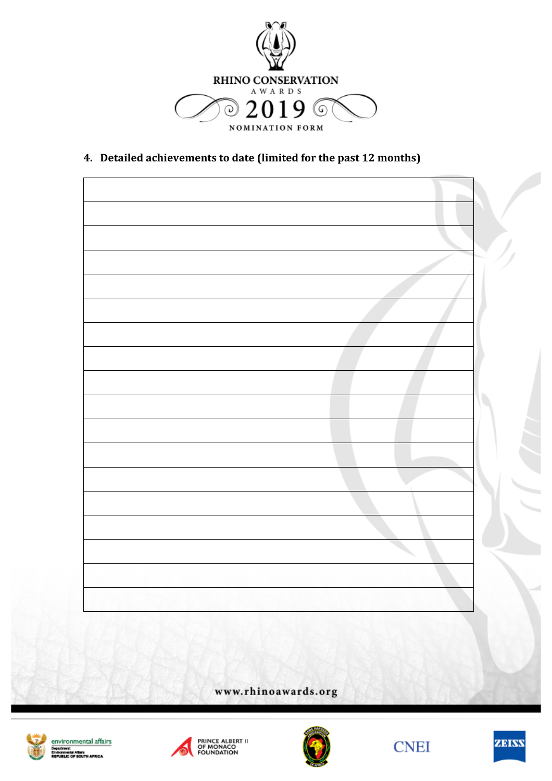

4. Detailed achievements to date (limited for the past 12 months)

www.rhinoawards.org